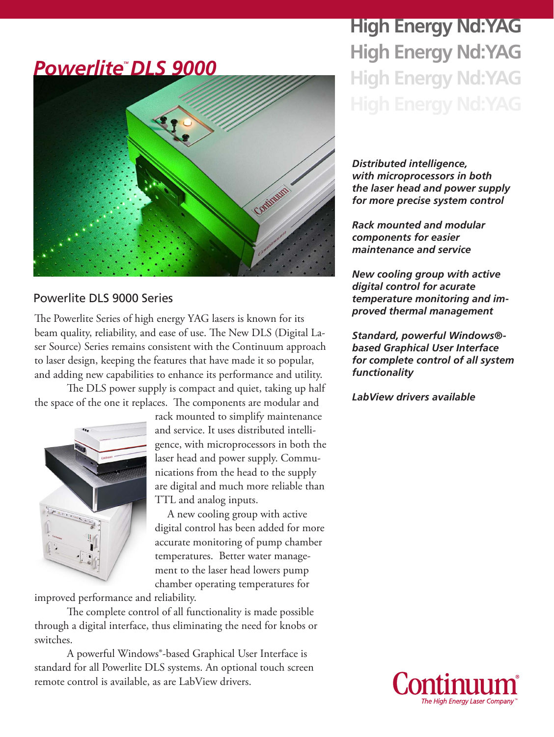# *PowerliteTM DLS 9000* Continum

### Powerlite DLS 9000 Series

The Powerlite Series of high energy YAG lasers is known for its beam quality, reliability, and ease of use. The New DLS (Digital Laser Source) Series remains consistent with the Continuum approach to laser design, keeping the features that have made it so popular, and adding new capabilities to enhance its performance and utility.

The DLS power supply is compact and quiet, taking up half the space of the one it replaces. The components are modular and



rack mounted to simplify maintenance and service. It uses distributed intelligence, with microprocessors in both the laser head and power supply. Communications from the head to the supply are digital and much more reliable than TTL and analog inputs.

A new cooling group with active digital control has been added for more accurate monitoring of pump chamber temperatures. Better water management to the laser head lowers pump chamber operating temperatures for

improved performance and reliability.

The complete control of all functionality is made possible through a digital interface, thus eliminating the need for knobs or switches.

A powerful Windows®-based Graphical User Interface is standard for all Powerlite DLS systems. An optional touch screen remote control is available, as are LabView drivers.

# **High Energy Nd:YAG High Energy Nd:YAG High Energy Nd:YAG**

*Distributed intelligence, with microprocessors in both the laser head and power supply for more precise system control*

*Rack mounted and modular components for easier maintenance and service*

*New cooling group with active digital control for acurate temperature monitoring and improved thermal management*

*Standard, powerful Windows® based Graphical User Interface for complete control of all system functionality*

*LabView drivers available*

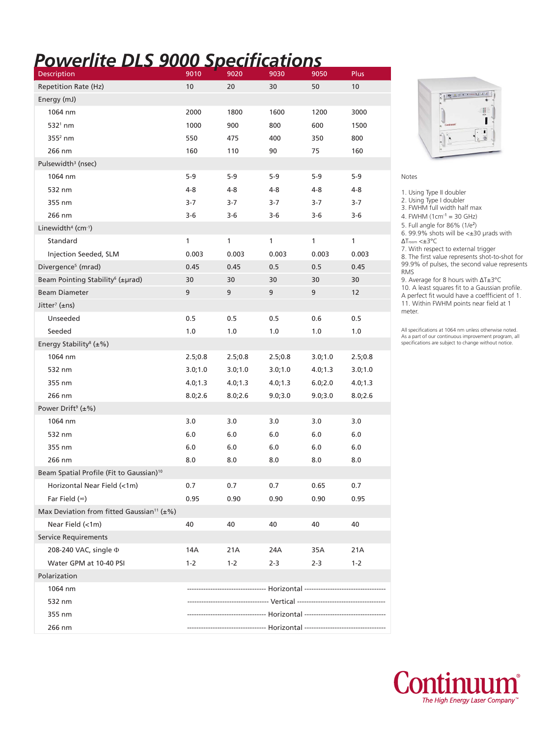# *Powerlite DLS 9000 Specifications*

| Description                                                  | 9010     | 9020     | 9030                                                                  | 9050     | Plus            |
|--------------------------------------------------------------|----------|----------|-----------------------------------------------------------------------|----------|-----------------|
| Repetition Rate (Hz)                                         | 10       | 20       | 30                                                                    | 50       | 10 <sup>°</sup> |
| Energy (mJ)                                                  |          |          |                                                                       |          |                 |
| 1064 nm                                                      | 2000     | 1800     | 1600                                                                  | 1200     | 3000            |
| $532^{\circ}$ nm                                             | 1000     | 900      | 800                                                                   | 600      | 1500            |
| $3552$ nm                                                    | 550      | 475      | 400                                                                   | 350      | 800             |
| 266 nm                                                       | 160      | 110      | 90                                                                    | 75       | 160             |
| Pulsewidth <sup>3</sup> (nsec)                               |          |          |                                                                       |          |                 |
| 1064 nm                                                      | 5-9      | $5-9$    | $5-9$                                                                 | $5-9$    | $5-9$           |
| 532 nm                                                       | 4-8      | 4-8      | 4-8                                                                   | 4-8      | 4-8             |
| 355 nm                                                       | 3-7      | 3-7      | 3-7                                                                   | 3-7      | $3-7$           |
| 266 nm                                                       | 3-6      | 3-6      | 3-6                                                                   | 3-6      | $3-6$           |
| Linewidth <sup>4</sup> (cm-1)                                |          |          |                                                                       |          |                 |
| Standard                                                     | 1        | 1        | $\mathbf{1}$                                                          | 1        | $\mathbf{1}$    |
| Injection Seeded, SLM                                        | 0.003    | 0.003    | 0.003                                                                 | 0.003    | 0.003           |
| Divergence <sup>5</sup> (mrad)                               | 0.45     | 0.45     | 0.5                                                                   | 0.5      | 0.45            |
| Beam Pointing Stability <sup>6</sup> (±µrad)                 | 30       | 30       | 30                                                                    | 30       | 30              |
| <b>Beam Diameter</b>                                         | 9        | 9        | 9                                                                     | 9        | 12              |
| Jitter <sup>7</sup> (±ns)                                    |          |          |                                                                       |          |                 |
| Unseeded                                                     | 0.5      | 0.5      | 0.5                                                                   | 0.6      | 0.5             |
| Seeded                                                       | 1.0      | 1.0      | 1.0                                                                   | 1.0      | 1.0             |
| Energy Stability <sup>8</sup> ( $\pm$ %)                     |          |          |                                                                       |          |                 |
| 1064 nm                                                      | 2.5;0.8  | 2.5;0.8  | 2.5;0.8                                                               | 3.0;1.0  | 2.5;0.8         |
| 532 nm                                                       | 3.0;1.0  | 3.0;1.0  | 3.0;1.0                                                               | 4.0; 1.3 | 3.0;1.0         |
| 355 nm                                                       | 4.0; 1.3 | 4.0; 1.3 | 4.0; 1.3                                                              | 6.0;2.0  | 4.0; 1.3        |
| 266 nm                                                       | 8.0;2.6  | 8.0;2.6  | 9.0;3.0                                                               | 9.0;3.0  | 8.0;2.6         |
| Power Drift <sup>9</sup> ( $\pm$ %)                          |          |          |                                                                       |          |                 |
| 1064 nm                                                      | 3.0      | 3.0      | 3.0                                                                   | 3.0      | 3.0             |
| 532 nm                                                       | 6.0      | 6.0      | 6.0                                                                   | 6.0      | 6.0             |
| 355 nm                                                       | 6.0      | 6.0      | 6.0                                                                   | 6.0      | 6.0             |
| 266 nm                                                       | 8.0      | 8.0      | 8.0                                                                   | 8.0      | 8.0             |
| Beam Spatial Profile (Fit to Gaussian) <sup>10</sup>         |          |          |                                                                       |          |                 |
| Horizontal Near Field (<1m)                                  | 0.7      | 0.7      | 0.7                                                                   | 0.65     | 0.7             |
| Far Field $(\infty)$                                         | 0.95     | 0.90     | 0.90                                                                  | 0.90     | 0.95            |
| Max Deviation from fitted Gaussian <sup>11</sup> ( $\pm\%$ ) |          |          |                                                                       |          |                 |
| Near Field (<1m)                                             | 40       | 40       | 40                                                                    | 40       | 40              |
| <b>Service Requirements</b>                                  |          |          |                                                                       |          |                 |
| 208-240 VAC, single $\Phi$                                   | 14A      | 21A      | 24A                                                                   | 35A      | 21A             |
| Water GPM at 10-40 PSI                                       | $1 - 2$  | $1 - 2$  | $2 - 3$                                                               | $2 - 3$  | $1 - 2$         |
| Polarization                                                 |          |          |                                                                       |          |                 |
| 1064 nm                                                      |          |          | ----------------------- Horizontal -----------------------------      |          |                 |
| 532 nm                                                       |          |          |                                                                       |          |                 |
| 355 nm                                                       |          |          |                                                                       |          |                 |
| 266 nm                                                       |          |          | ---------------------- Horizontal ----------------------------------- |          |                 |



### Notes

1. Using Type II doubler

2. Using Type I doubler

3. FWHM full width half max

- 4. FWHM  $(1cm<sup>-1</sup> = 30 GHz)$
- 5. Full angle for 86% (1/e<sup>2</sup> ) 6. 99.9% shots will be <±30 μrads with

ΔTroom <±3°C

7. With respect to external trigger

8. The first value represents shot-to-shot for 99.9% of pulses, the second value represents RMS

9. Average for 8 hours with ΔT±3°C

10. A least squares fit to a Gaussian profile. A perfect fit would have a coeffficient of 1. 11. Within FWHM points near field at 1 meter.

All specifications at 1064 nm unless otherwise noted. As a part of our continuous improvement program, all specifications are subject to change without notice.